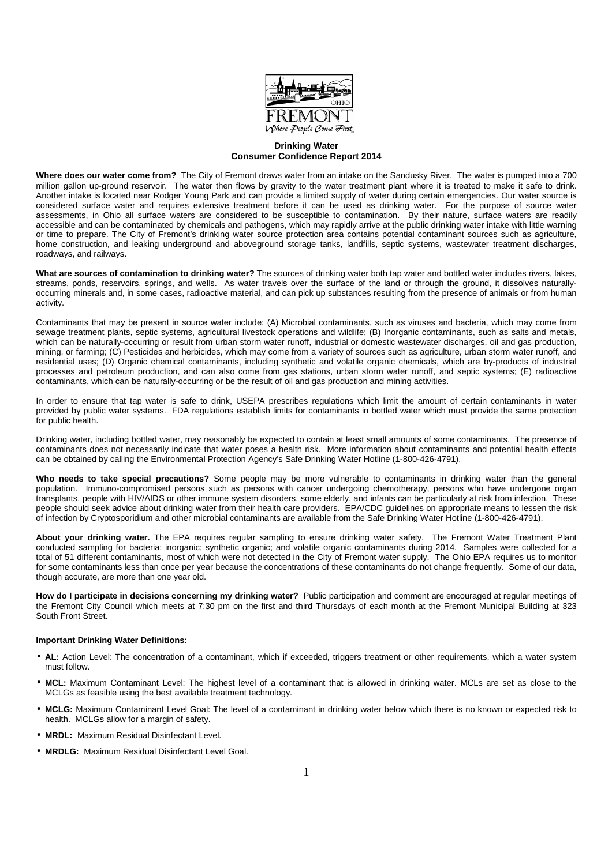

## **Drinking Water Consumer Confidence Report 2014**

**Where does our water come from?** The City of Fremont draws water from an intake on the Sandusky River. The water is pumped into a 700 million gallon up-ground reservoir. The water then flows by gravity to the water treatment plant where it is treated to make it safe to drink. Another intake is located near Rodger Young Park and can provide a limited supply of water during certain emergencies. Our water source is considered surface water and requires extensive treatment before it can be used as drinking water. For the purpose of source water assessments, in Ohio all surface waters are considered to be susceptible to contamination. By their nature, surface waters are readily accessible and can be contaminated by chemicals and pathogens, which may rapidly arrive at the public drinking water intake with little warning or time to prepare. The City of Fremont's drinking water source protection area contains potential contaminant sources such as agriculture, home construction, and leaking underground and aboveground storage tanks, landfills, septic systems, wastewater treatment discharges, roadways, and railways.

**What are sources of contamination to drinking water?** The sources of drinking water both tap water and bottled water includes rivers, lakes, streams, ponds, reservoirs, springs, and wells. As water travels over the surface of the land or through the ground, it dissolves naturallyoccurring minerals and, in some cases, radioactive material, and can pick up substances resulting from the presence of animals or from human activity.

Contaminants that may be present in source water include: (A) Microbial contaminants, such as viruses and bacteria, which may come from sewage treatment plants, septic systems, agricultural livestock operations and wildlife; (B) Inorganic contaminants, such as salts and metals, which can be naturally-occurring or result from urban storm water runoff, industrial or domestic wastewater discharges, oil and gas production, mining, or farming; (C) Pesticides and herbicides, which may come from a variety of sources such as agriculture, urban storm water runoff, and residential uses; (D) Organic chemical contaminants, including synthetic and volatile organic chemicals, which are by-products of industrial processes and petroleum production, and can also come from gas stations, urban storm water runoff, and septic systems; (E) radioactive contaminants, which can be naturally-occurring or be the result of oil and gas production and mining activities.

In order to ensure that tap water is safe to drink, USEPA prescribes regulations which limit the amount of certain contaminants in water provided by public water systems. FDA regulations establish limits for contaminants in bottled water which must provide the same protection for public health.

Drinking water, including bottled water, may reasonably be expected to contain at least small amounts of some contaminants. The presence of contaminants does not necessarily indicate that water poses a health risk. More information about contaminants and potential health effects can be obtained by calling the Environmental Protection Agency's Safe Drinking Water Hotline (1-800-426-4791).

**Who needs to take special precautions?** Some people may be more vulnerable to contaminants in drinking water than the general population. Immuno-compromised persons such as persons with cancer undergoing chemotherapy, persons who have undergone organ transplants, people with HIV/AIDS or other immune system disorders, some elderly, and infants can be particularly at risk from infection. These people should seek advice about drinking water from their health care providers. EPA/CDC guidelines on appropriate means to lessen the risk of infection by Cryptosporidium and other microbial contaminants are available from the Safe Drinking Water Hotline (1-800-426-4791).

**About your drinking water.** The EPA requires regular sampling to ensure drinking water safety. The Fremont Water Treatment Plant conducted sampling for bacteria; inorganic; synthetic organic; and volatile organic contaminants during 2014. Samples were collected for a total of 51 different contaminants, most of which were not detected in the City of Fremont water supply. The Ohio EPA requires us to monitor for some contaminants less than once per year because the concentrations of these contaminants do not change frequently. Some of our data, though accurate, are more than one year old.

**How do I participate in decisions concerning my drinking water?** Public participation and comment are encouraged at regular meetings of the Fremont City Council which meets at 7:30 pm on the first and third Thursdays of each month at the Fremont Municipal Building at 323 South Front Street.

## **Important Drinking Water Definitions:**

- **AL:** Action Level: The concentration of a contaminant, which if exceeded, triggers treatment or other requirements, which a water system must follow.
- **MCL:** Maximum Contaminant Level: The highest level of a contaminant that is allowed in drinking water. MCLs are set as close to the MCLGs as feasible using the best available treatment technology.
- **MCLG:** Maximum Contaminant Level Goal: The level of a contaminant in drinking water below which there is no known or expected risk to health. MCLGs allow for a margin of safety.
- **MRDL:** Maximum Residual Disinfectant Level.
- **MRDLG:** Maximum Residual Disinfectant Level Goal.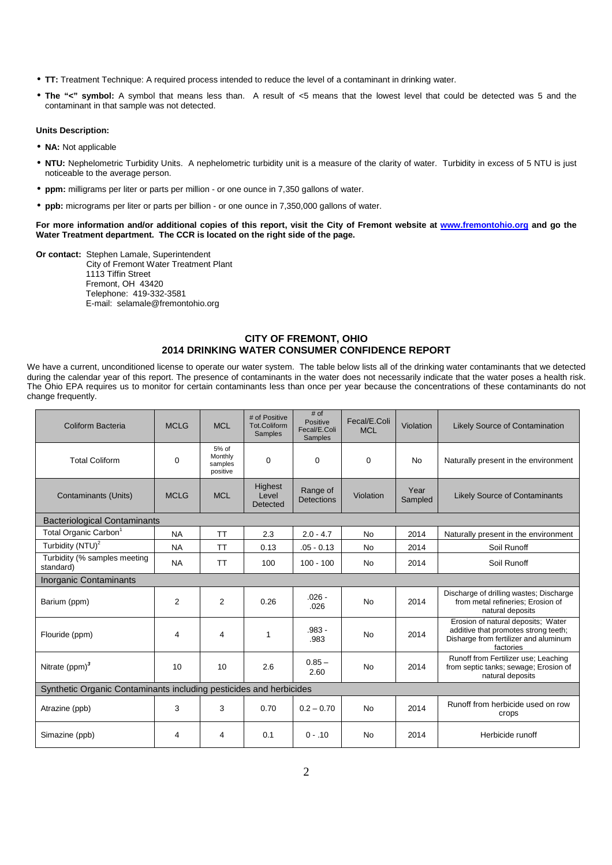- **TT:** Treatment Technique: A required process intended to reduce the level of a contaminant in drinking water.
- **The "<" symbol:** A symbol that means less than. A result of <5 means that the lowest level that could be detected was 5 and the contaminant in that sample was not detected.

## **Units Description:**

- **NA:** Not applicable
- **NTU:** Nephelometric Turbidity Units. A nephelometric turbidity unit is a measure of the clarity of water. Turbidity in excess of 5 NTU is just noticeable to the average person.
- **ppm:** milligrams per liter or parts per million or one ounce in 7,350 gallons of water.
- **ppb:** micrograms per liter or parts per billion or one ounce in 7,350,000 gallons of water.

**For more information and/or additional copies of this report, visit the City of Fremont website at www.fremontohio.org and go the Water Treatment department. The CCR is located on the right side of the page.** 

**Or contact:** Stephen Lamale, Superintendent City of Fremont Water Treatment Plant 1113 Tiffin Street Fremont, OH 43420 Telephone: 419-332-3581 E-mail: selamale@fremontohio.org

## **CITY OF FREMONT, OHIO 2014 DRINKING WATER CONSUMER CONFIDENCE REPORT**

We have a current, unconditioned license to operate our water system. The table below lists all of the drinking water contaminants that we detected during the calendar year of this report. The presence of contaminants in the water does not necessarily indicate that the water poses a health risk. The Ohio EPA requires us to monitor for certain contaminants less than once per year because the concentrations of these contaminants do not change frequently.

| Coliform Bacteria                                                  | <b>MCLG</b> | <b>MCL</b>                              | # of Positive<br><b>Tot.Coliform</b><br>Samples | $#$ of<br>Positive<br>Fecal/E.Coli<br>Samples | Fecal/E.Coli<br><b>MCL</b> | Violation       | <b>Likely Source of Contamination</b>                                                                                            |  |  |  |
|--------------------------------------------------------------------|-------------|-----------------------------------------|-------------------------------------------------|-----------------------------------------------|----------------------------|-----------------|----------------------------------------------------------------------------------------------------------------------------------|--|--|--|
| <b>Total Coliform</b>                                              | $\Omega$    | 5% of<br>Monthly<br>samples<br>positive | $\Omega$                                        | $\Omega$                                      | $\Omega$                   | <b>No</b>       | Naturally present in the environment                                                                                             |  |  |  |
| Contaminants (Units)                                               | <b>MCLG</b> | <b>MCL</b>                              | Highest<br>Level<br>Detected                    | Range of<br><b>Detections</b>                 | Violation                  | Year<br>Sampled | <b>Likely Source of Contaminants</b>                                                                                             |  |  |  |
| <b>Bacteriological Contaminants</b>                                |             |                                         |                                                 |                                               |                            |                 |                                                                                                                                  |  |  |  |
| Total Organic Carbon <sup>1</sup>                                  | <b>NA</b>   | <b>TT</b>                               | 2.3                                             | $2.0 - 4.7$                                   | <b>No</b>                  | 2014            | Naturally present in the environment                                                                                             |  |  |  |
| Turbidity (NTU) <sup>2</sup>                                       | <b>NA</b>   | <b>TT</b>                               | 0.13                                            | $.05 - 0.13$                                  | <b>No</b>                  | 2014            | Soil Runoff                                                                                                                      |  |  |  |
| Turbidity (% samples meeting<br>standard)                          | <b>NA</b>   | <b>TT</b>                               | 100                                             | $100 - 100$                                   | <b>No</b>                  | 2014            | Soil Runoff                                                                                                                      |  |  |  |
| Inorganic Contaminants                                             |             |                                         |                                                 |                                               |                            |                 |                                                                                                                                  |  |  |  |
| Barium (ppm)                                                       | 2           | $\overline{2}$                          | 0.26                                            | $.026 -$<br>.026                              | <b>No</b>                  | 2014            | Discharge of drilling wastes; Discharge<br>from metal refineries; Erosion of<br>natural deposits                                 |  |  |  |
| Flouride (ppm)                                                     | 4           | 4                                       | 1                                               | $.983 -$<br>.983                              | <b>No</b>                  | 2014            | Erosion of natural deposits; Water<br>additive that promotes strong teeth;<br>Disharge from fertilizer and aluminum<br>factories |  |  |  |
| Nitrate $(ppm)^3$                                                  | 10          | 10                                      | 2.6                                             | $0.85 -$<br>2.60                              | <b>No</b>                  | 2014            | Runoff from Fertilizer use; Leaching<br>from septic tanks; sewage; Erosion of<br>natural deposits                                |  |  |  |
| Synthetic Organic Contaminants including pesticides and herbicides |             |                                         |                                                 |                                               |                            |                 |                                                                                                                                  |  |  |  |
| Atrazine (ppb)                                                     | 3           | 3                                       | 0.70                                            | $0.2 - 0.70$                                  | <b>No</b>                  | 2014            | Runoff from herbicide used on row<br>crops                                                                                       |  |  |  |
| Simazine (ppb)                                                     | 4           | 4                                       | 0.1                                             | $0 - 10$                                      | No                         | 2014            | Herbicide runoff                                                                                                                 |  |  |  |